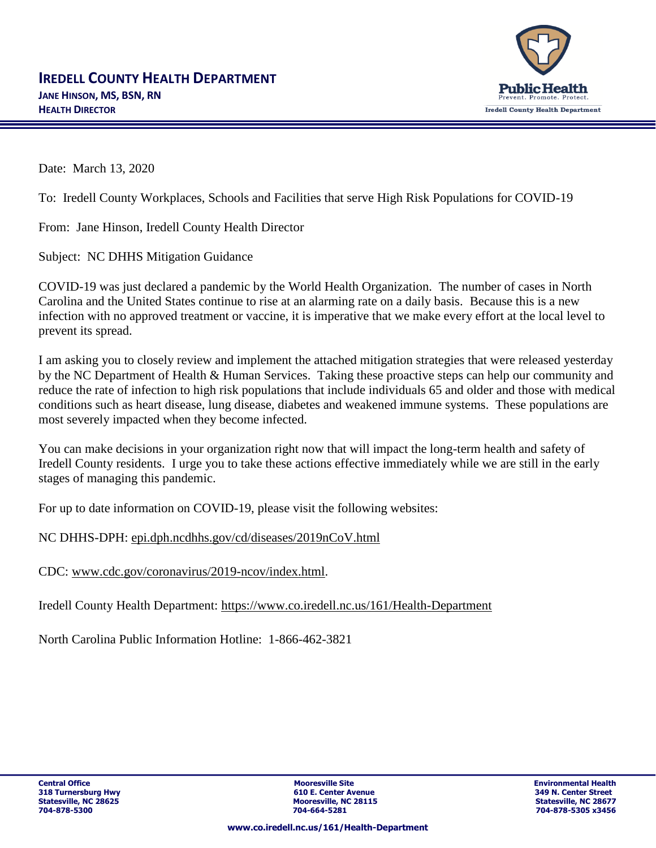

Date: March 13, 2020

To: Iredell County Workplaces, Schools and Facilities that serve High Risk Populations for COVID-19

From: Jane Hinson, Iredell County Health Director

Subject: NC DHHS Mitigation Guidance

COVID-19 was just declared a pandemic by the World Health Organization. The number of cases in North Carolina and the United States continue to rise at an alarming rate on a daily basis. Because this is a new infection with no approved treatment or vaccine, it is imperative that we make every effort at the local level to prevent its spread.

I am asking you to closely review and implement the attached mitigation strategies that were released yesterday by the NC Department of Health & Human Services. Taking these proactive steps can help our community and reduce the rate of infection to high risk populations that include individuals 65 and older and those with medical conditions such as heart disease, lung disease, diabetes and weakened immune systems. These populations are most severely impacted when they become infected.

You can make decisions in your organization right now that will impact the long-term health and safety of Iredell County residents. I urge you to take these actions effective immediately while we are still in the early stages of managing this pandemic.

For up to date information on COVID-19, please visit the following websites:

NC DHHS-DPH: [epi.dph.ncdhhs.gov/cd/diseases/2019nCoV.html](https://epi.dph.ncdhhs.gov/cd/diseases/2019nCoV.html)

CDC: [www.cdc.gov/coronavirus/2019-ncov/index.html.](https://www.cdc.gov/coronavirus/2019-ncov/index.html)

Iredell County Health Department:<https://www.co.iredell.nc.us/161/Health-Department>

North Carolina Public Information Hotline: 1-866-462-3821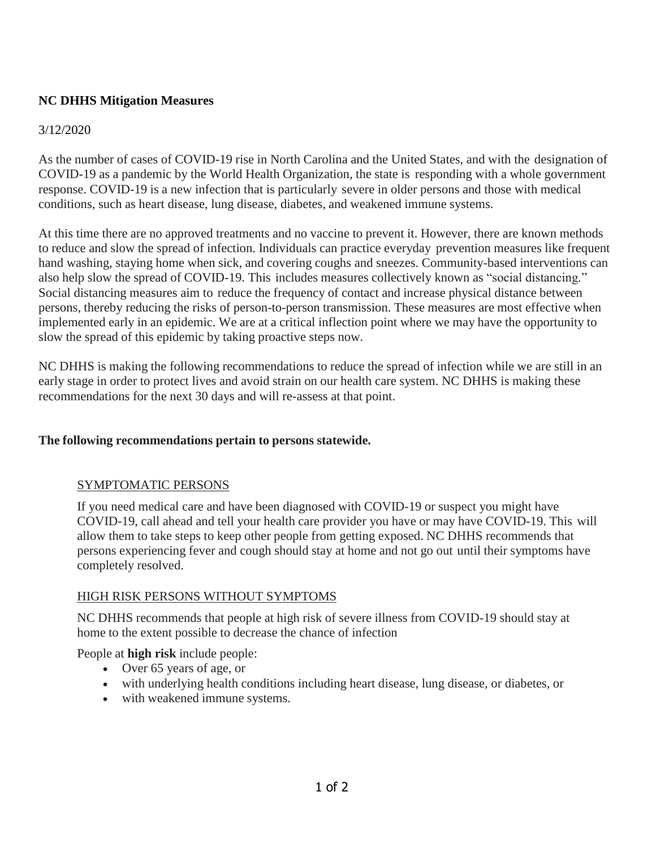# **NC DHHS Mitigation Measures**

### 3/12/2020

As the number of cases of COVID-19 rise in North Carolina and the United States, and with the designation of COVID-19 as a pandemic by the World Health Organization, the state is responding with a whole government response. COVID-19 is a new infection that is particularly severe in older persons and those with medical conditions, such as heart disease, lung disease, diabetes, and weakened immune systems.

At this time there are no approved treatments and no vaccine to prevent it. However, there are known methods to reduce and slow the spread of infection. Individuals can practice everyday prevention measures like frequent hand washing, staying home when sick, and covering coughs and sneezes. Community-based interventions can also help slow the spread of COVID-19. This includes measures collectively known as "social distancing." Social distancing measures aim to reduce the frequency of contact and increase physical distance between persons, thereby reducing the risks of person-to-person transmission. These measures are most effective when implemented early in an epidemic. We are at a critical inflection point where we may have the opportunity to slow the spread of this epidemic by taking proactive steps now.

NC DHHS is making the following recommendations to reduce the spread of infection while we are still in an early stage in order to protect lives and avoid strain on our health care system. NC DHHS is making these recommendations for the next 30 days and will re-assess at that point.

### **The following recommendations pertain to persons statewide.**

### SYMPTOMATIC PERSONS

If you need medical care and have been diagnosed with COVID-19 or suspect you might have COVID-19, call ahead and tell your health care provider you have or may have COVID-19. This will allow them to take steps to keep other people from getting exposed. NC DHHS recommends that persons experiencing fever and cough should stay at home and not go out until their symptoms have completely resolved.

### HIGH RISK PERSONS WITHOUT SYMPTOMS

NC DHHS recommends that people at high risk of severe illness from COVID-19 should stay at home to the extent possible to decrease the chance of infection

People at **high risk** include people:

- Over 65 years of age, or
- with underlying health conditions including heart disease, lung disease, or diabetes, or
- with weakened immune systems.